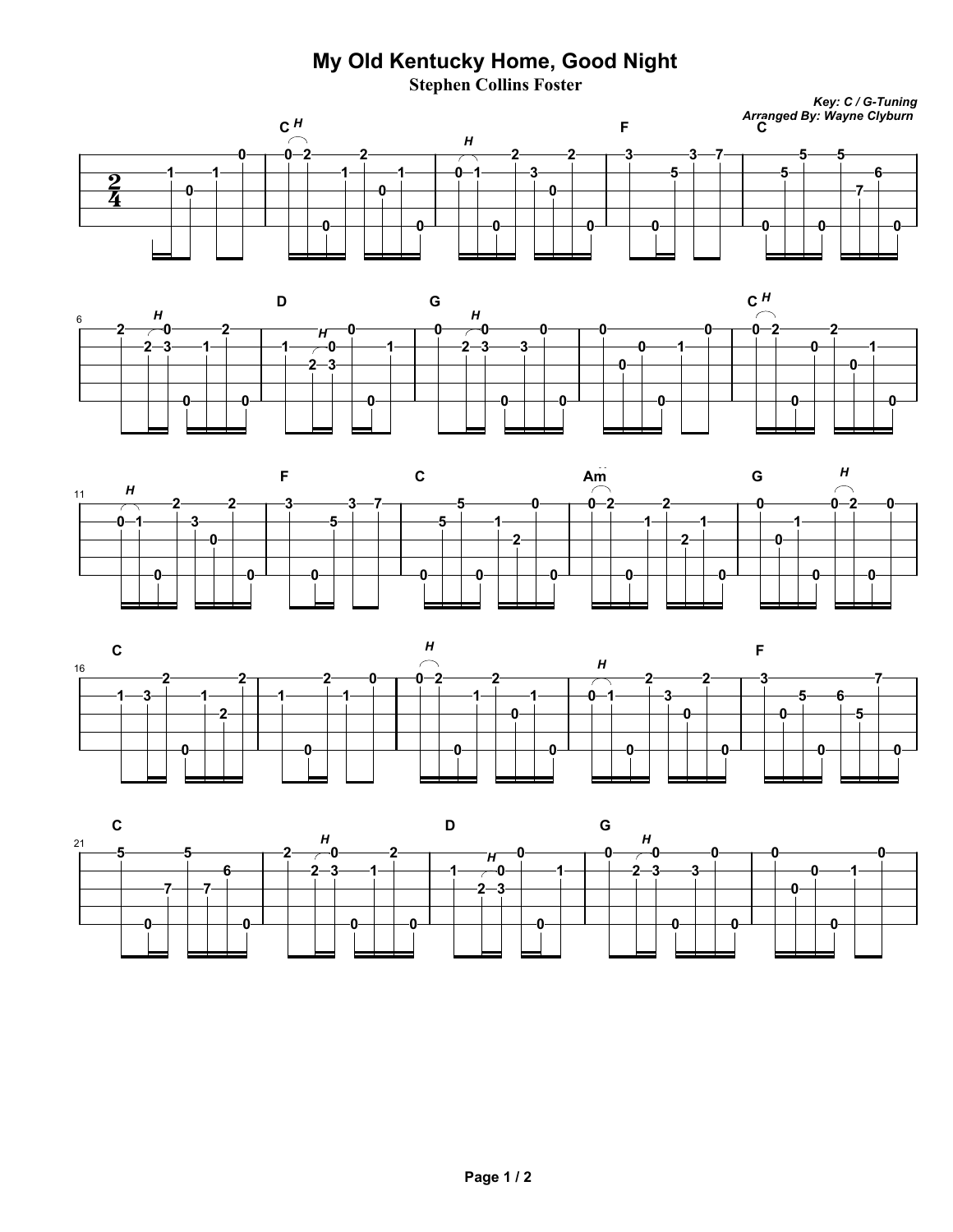## **My Old Kentucky Home, Good Night**